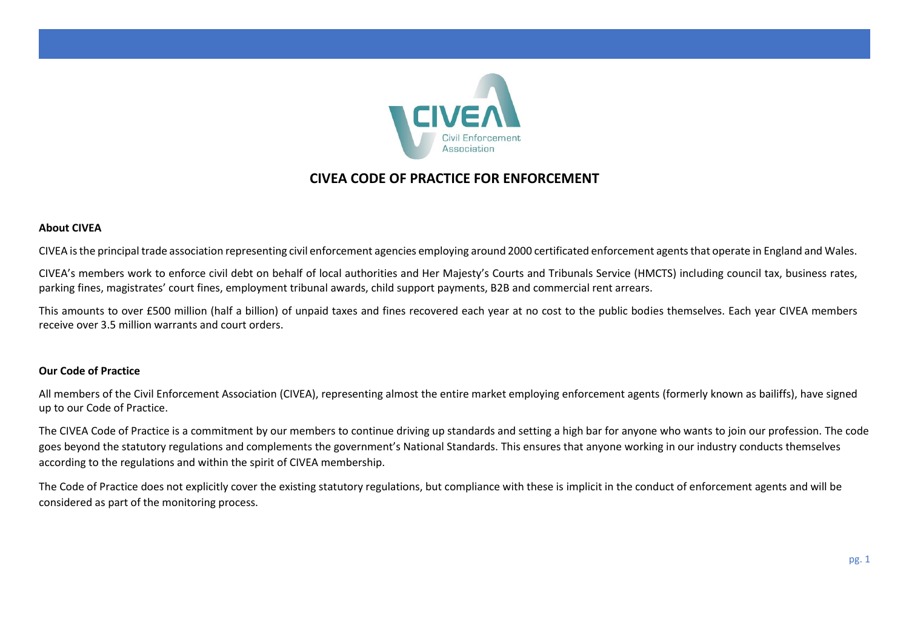

# **CIVEA CODE OF PRACTICE FOR ENFORCEMENT**

# **About CIVEA**

CIVEA is the principal trade association representing civil enforcement agencies employing around 2000 certificated enforcement agents that operate in England and Wales.

CIVEA's members work to enforce civil debt on behalf of local authorities and Her Majesty's Courts and Tribunals Service (HMCTS) including council tax, business rates, parking fines, magistrates' court fines, employment tribunal awards, child support payments, B2B and commercial rent arrears.

This amounts to over £500 million (half a billion) of unpaid taxes and fines recovered each year at no cost to the public bodies themselves. Each year CIVEA members receive over 3.5 million warrants and court orders.

## **Our Code of Practice**

All members of the Civil Enforcement Association (CIVEA), representing almost the entire market employing enforcement agents (formerly known as bailiffs), have signed up to our Code of Practice.

The CIVEA Code of Practice is a commitment by our members to continue driving up standards and setting a high bar for anyone who wants to join our profession. The code goes beyond the statutory regulations and complements the government's National Standards. This ensures that anyone working in our industry conducts themselves according to the regulations and within the spirit of CIVEA membership.

The Code of Practice does not explicitly cover the existing statutory regulations, but compliance with these is implicit in the conduct of enforcement agents and will be considered as part of the monitoring process.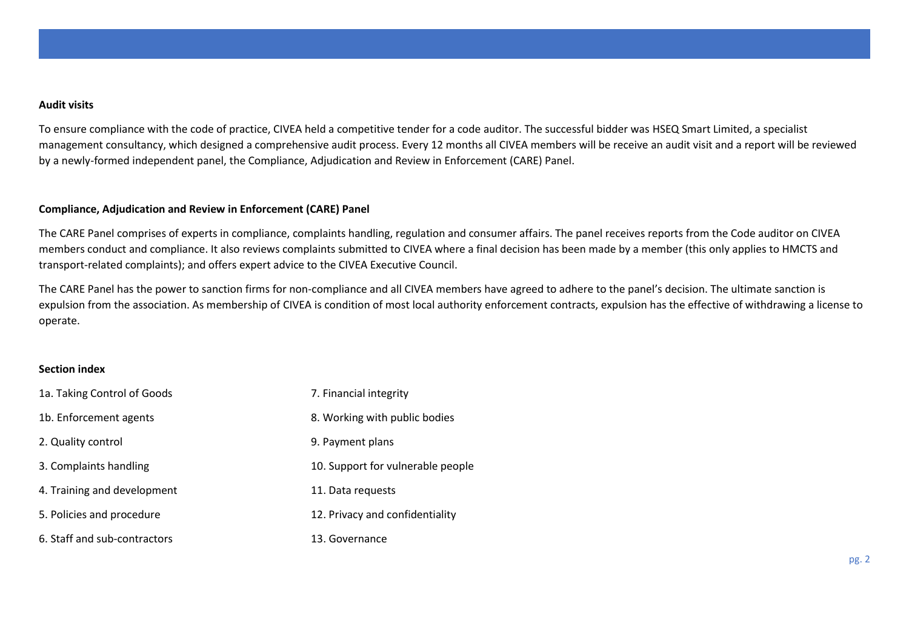#### **Audit visits**

To ensure compliance with the code of practice, CIVEA held a competitive tender for a code auditor. The successful bidder was HSEQ Smart Limited, a specialist management consultancy, which designed a comprehensive audit process. Every 12 months all CIVEA members will be receive an audit visit and a report will be reviewed by a newly-formed independent panel, the Compliance, Adjudication and Review in Enforcement (CARE) Panel.

# **Compliance, Adjudication and Review in Enforcement (CARE) Panel**

The CARE Panel comprises of experts in compliance, complaints handling, regulation and consumer affairs. The panel receives reports from the Code auditor on CIVEA members conduct and compliance. It also reviews complaints submitted to CIVEA where a final decision has been made by a member (this only applies to HMCTS and transport-related complaints); and offers expert advice to the CIVEA Executive Council.

The CARE Panel has the power to sanction firms for non-compliance and all CIVEA members have agreed to adhere to the panel's decision. The ultimate sanction is expulsion from the association. As membership of CIVEA is condition of most local authority enforcement contracts, expulsion has the effective of withdrawing a license to operate.

## **Section index**

| 1a. Taking Control of Goods  | 7. Financial integrity            |
|------------------------------|-----------------------------------|
| 1b. Enforcement agents       | 8. Working with public bodies     |
| 2. Quality control           | 9. Payment plans                  |
| 3. Complaints handling       | 10. Support for vulnerable people |
| 4. Training and development  | 11. Data requests                 |
| 5. Policies and procedure    | 12. Privacy and confidentiality   |
| 6. Staff and sub-contractors | 13. Governance                    |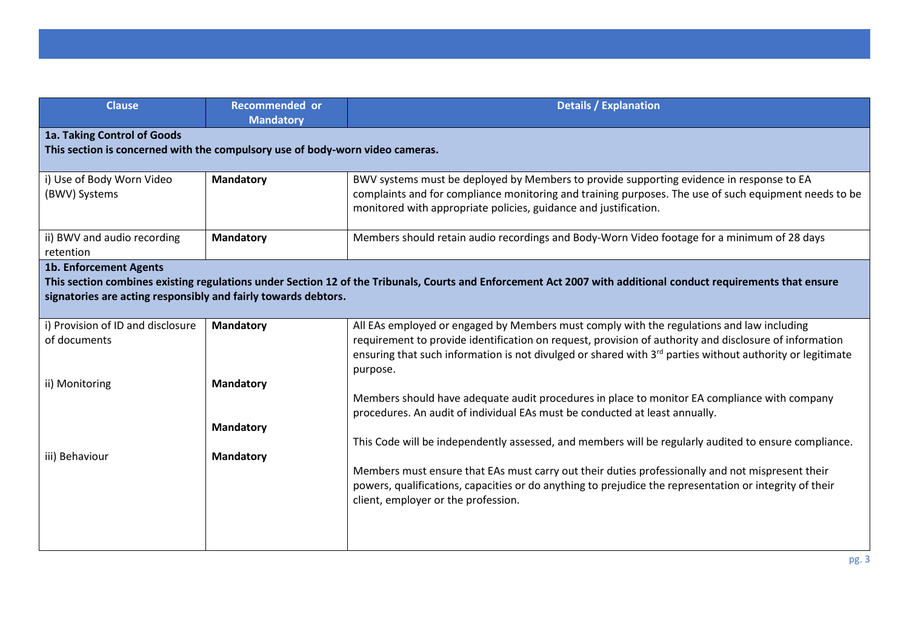| <b>Clause</b>                                                                                                                                                                                                                                                     | <b>Recommended or</b><br><b>Mandatory</b>                                     | <b>Details / Explanation</b>                                                                                                                                                                                                                                                                                                                                |  |
|-------------------------------------------------------------------------------------------------------------------------------------------------------------------------------------------------------------------------------------------------------------------|-------------------------------------------------------------------------------|-------------------------------------------------------------------------------------------------------------------------------------------------------------------------------------------------------------------------------------------------------------------------------------------------------------------------------------------------------------|--|
| 1a. Taking Control of Goods                                                                                                                                                                                                                                       | This section is concerned with the compulsory use of body-worn video cameras. |                                                                                                                                                                                                                                                                                                                                                             |  |
| i) Use of Body Worn Video<br>(BWV) Systems                                                                                                                                                                                                                        | <b>Mandatory</b>                                                              | BWV systems must be deployed by Members to provide supporting evidence in response to EA<br>complaints and for compliance monitoring and training purposes. The use of such equipment needs to be<br>monitored with appropriate policies, guidance and justification.                                                                                       |  |
| ii) BWV and audio recording<br>retention                                                                                                                                                                                                                          | <b>Mandatory</b>                                                              | Members should retain audio recordings and Body-Worn Video footage for a minimum of 28 days                                                                                                                                                                                                                                                                 |  |
| <b>1b. Enforcement Agents</b><br>This section combines existing regulations under Section 12 of the Tribunals, Courts and Enforcement Act 2007 with additional conduct requirements that ensure<br>signatories are acting responsibly and fairly towards debtors. |                                                                               |                                                                                                                                                                                                                                                                                                                                                             |  |
| i) Provision of ID and disclosure<br>of documents                                                                                                                                                                                                                 | <b>Mandatory</b>                                                              | All EAs employed or engaged by Members must comply with the regulations and law including<br>requirement to provide identification on request, provision of authority and disclosure of information<br>ensuring that such information is not divulged or shared with $3rd$ parties without authority or legitimate<br>purpose.                              |  |
| ii) Monitoring                                                                                                                                                                                                                                                    | <b>Mandatory</b><br><b>Mandatory</b>                                          | Members should have adequate audit procedures in place to monitor EA compliance with company<br>procedures. An audit of individual EAs must be conducted at least annually.                                                                                                                                                                                 |  |
| iii) Behaviour                                                                                                                                                                                                                                                    | <b>Mandatory</b>                                                              | This Code will be independently assessed, and members will be regularly audited to ensure compliance.<br>Members must ensure that EAs must carry out their duties professionally and not mispresent their<br>powers, qualifications, capacities or do anything to prejudice the representation or integrity of their<br>client, employer or the profession. |  |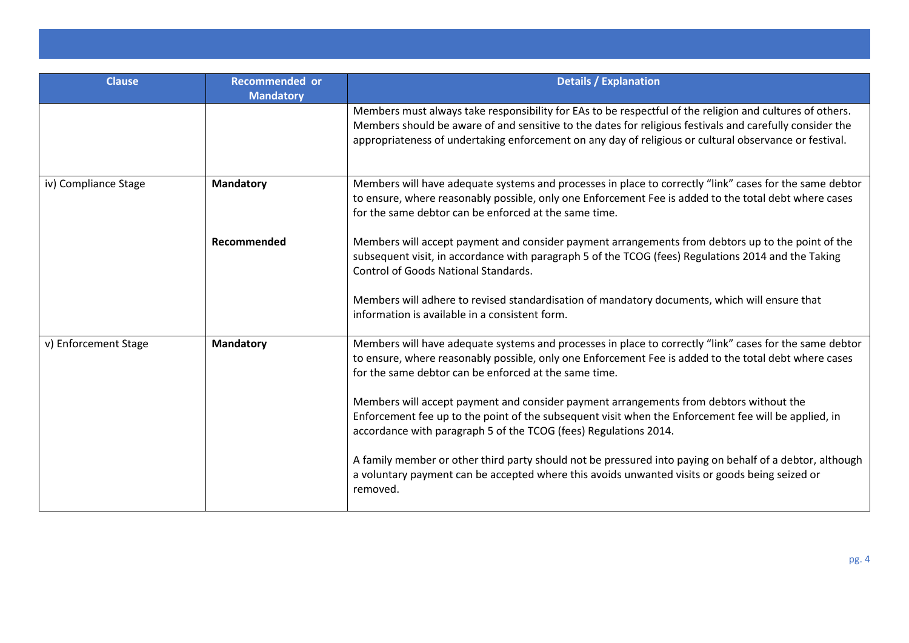| <b>Clause</b>        | Recommended or<br><b>Mandatory</b> | <b>Details / Explanation</b>                                                                                                                                                                                                                                                                                                   |
|----------------------|------------------------------------|--------------------------------------------------------------------------------------------------------------------------------------------------------------------------------------------------------------------------------------------------------------------------------------------------------------------------------|
|                      |                                    | Members must always take responsibility for EAs to be respectful of the religion and cultures of others.<br>Members should be aware of and sensitive to the dates for religious festivals and carefully consider the<br>appropriateness of undertaking enforcement on any day of religious or cultural observance or festival. |
| iv) Compliance Stage | <b>Mandatory</b>                   | Members will have adequate systems and processes in place to correctly "link" cases for the same debtor<br>to ensure, where reasonably possible, only one Enforcement Fee is added to the total debt where cases<br>for the same debtor can be enforced at the same time.                                                      |
|                      | Recommended                        | Members will accept payment and consider payment arrangements from debtors up to the point of the<br>subsequent visit, in accordance with paragraph 5 of the TCOG (fees) Regulations 2014 and the Taking<br><b>Control of Goods National Standards.</b>                                                                        |
|                      |                                    | Members will adhere to revised standardisation of mandatory documents, which will ensure that<br>information is available in a consistent form.                                                                                                                                                                                |
| v) Enforcement Stage | <b>Mandatory</b>                   | Members will have adequate systems and processes in place to correctly "link" cases for the same debtor<br>to ensure, where reasonably possible, only one Enforcement Fee is added to the total debt where cases<br>for the same debtor can be enforced at the same time.                                                      |
|                      |                                    | Members will accept payment and consider payment arrangements from debtors without the<br>Enforcement fee up to the point of the subsequent visit when the Enforcement fee will be applied, in<br>accordance with paragraph 5 of the TCOG (fees) Regulations 2014.                                                             |
|                      |                                    | A family member or other third party should not be pressured into paying on behalf of a debtor, although<br>a voluntary payment can be accepted where this avoids unwanted visits or goods being seized or<br>removed.                                                                                                         |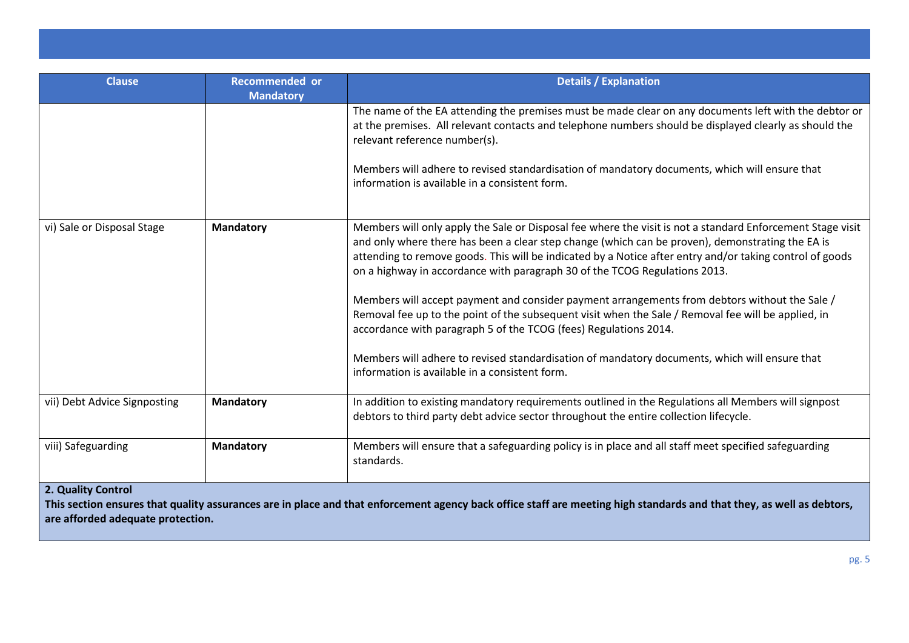| <b>Clause</b>                | <b>Recommended or</b> | <b>Details / Explanation</b>                                                                                                                                                                                                                                                                                                                                                                             |
|------------------------------|-----------------------|----------------------------------------------------------------------------------------------------------------------------------------------------------------------------------------------------------------------------------------------------------------------------------------------------------------------------------------------------------------------------------------------------------|
|                              | <b>Mandatory</b>      |                                                                                                                                                                                                                                                                                                                                                                                                          |
|                              |                       | The name of the EA attending the premises must be made clear on any documents left with the debtor or<br>at the premises. All relevant contacts and telephone numbers should be displayed clearly as should the<br>relevant reference number(s).                                                                                                                                                         |
|                              |                       | Members will adhere to revised standardisation of mandatory documents, which will ensure that<br>information is available in a consistent form.                                                                                                                                                                                                                                                          |
| vi) Sale or Disposal Stage   | <b>Mandatory</b>      | Members will only apply the Sale or Disposal fee where the visit is not a standard Enforcement Stage visit<br>and only where there has been a clear step change (which can be proven), demonstrating the EA is<br>attending to remove goods. This will be indicated by a Notice after entry and/or taking control of goods<br>on a highway in accordance with paragraph 30 of the TCOG Regulations 2013. |
|                              |                       | Members will accept payment and consider payment arrangements from debtors without the Sale /<br>Removal fee up to the point of the subsequent visit when the Sale / Removal fee will be applied, in<br>accordance with paragraph 5 of the TCOG (fees) Regulations 2014.                                                                                                                                 |
|                              |                       | Members will adhere to revised standardisation of mandatory documents, which will ensure that<br>information is available in a consistent form.                                                                                                                                                                                                                                                          |
| vii) Debt Advice Signposting | <b>Mandatory</b>      | In addition to existing mandatory requirements outlined in the Regulations all Members will signpost<br>debtors to third party debt advice sector throughout the entire collection lifecycle.                                                                                                                                                                                                            |
| viii) Safeguarding           | <b>Mandatory</b>      | Members will ensure that a safeguarding policy is in place and all staff meet specified safeguarding<br>standards.                                                                                                                                                                                                                                                                                       |
| 2. Quality Control           |                       |                                                                                                                                                                                                                                                                                                                                                                                                          |

**This section ensures that quality assurances are in place and that enforcement agency back office staff are meeting high standards and that they, as well as debtors, are afforded adequate protection.**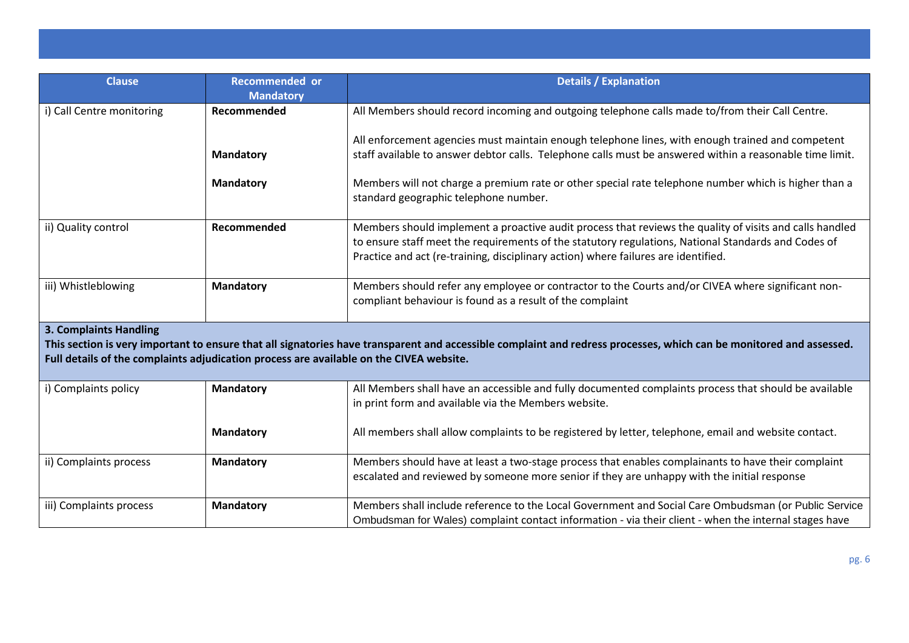| <b>Clause</b>                                                                                                                                                                                                                                                                                   | <b>Recommended or</b> | <b>Details / Explanation</b>                                                                                                                                                                                                                                                                         |  |
|-------------------------------------------------------------------------------------------------------------------------------------------------------------------------------------------------------------------------------------------------------------------------------------------------|-----------------------|------------------------------------------------------------------------------------------------------------------------------------------------------------------------------------------------------------------------------------------------------------------------------------------------------|--|
|                                                                                                                                                                                                                                                                                                 | <b>Mandatory</b>      |                                                                                                                                                                                                                                                                                                      |  |
| i) Call Centre monitoring                                                                                                                                                                                                                                                                       | Recommended           | All Members should record incoming and outgoing telephone calls made to/from their Call Centre.                                                                                                                                                                                                      |  |
|                                                                                                                                                                                                                                                                                                 |                       | All enforcement agencies must maintain enough telephone lines, with enough trained and competent                                                                                                                                                                                                     |  |
|                                                                                                                                                                                                                                                                                                 | <b>Mandatory</b>      | staff available to answer debtor calls. Telephone calls must be answered within a reasonable time limit.                                                                                                                                                                                             |  |
|                                                                                                                                                                                                                                                                                                 | <b>Mandatory</b>      | Members will not charge a premium rate or other special rate telephone number which is higher than a<br>standard geographic telephone number.                                                                                                                                                        |  |
| ii) Quality control                                                                                                                                                                                                                                                                             | Recommended           | Members should implement a proactive audit process that reviews the quality of visits and calls handled<br>to ensure staff meet the requirements of the statutory regulations, National Standards and Codes of<br>Practice and act (re-training, disciplinary action) where failures are identified. |  |
| iii) Whistleblowing                                                                                                                                                                                                                                                                             | <b>Mandatory</b>      | Members should refer any employee or contractor to the Courts and/or CIVEA where significant non-<br>compliant behaviour is found as a result of the complaint                                                                                                                                       |  |
| <b>3. Complaints Handling</b><br>This section is very important to ensure that all signatories have transparent and accessible complaint and redress processes, which can be monitored and assessed.<br>Full details of the complaints adjudication process are available on the CIVEA website. |                       |                                                                                                                                                                                                                                                                                                      |  |
| i) Complaints policy                                                                                                                                                                                                                                                                            | <b>Mandatory</b>      | All Members shall have an accessible and fully documented complaints process that should be available                                                                                                                                                                                                |  |
|                                                                                                                                                                                                                                                                                                 |                       | in print form and available via the Members website.                                                                                                                                                                                                                                                 |  |
|                                                                                                                                                                                                                                                                                                 | <b>Mandatory</b>      | All members shall allow complaints to be registered by letter, telephone, email and website contact.                                                                                                                                                                                                 |  |
| ii) Complaints process                                                                                                                                                                                                                                                                          | <b>Mandatory</b>      | Members should have at least a two-stage process that enables complainants to have their complaint<br>escalated and reviewed by someone more senior if they are unhappy with the initial response                                                                                                    |  |
| iii) Complaints process                                                                                                                                                                                                                                                                         | <b>Mandatory</b>      | Members shall include reference to the Local Government and Social Care Ombudsman (or Public Service<br>Ombudsman for Wales) complaint contact information - via their client - when the internal stages have                                                                                        |  |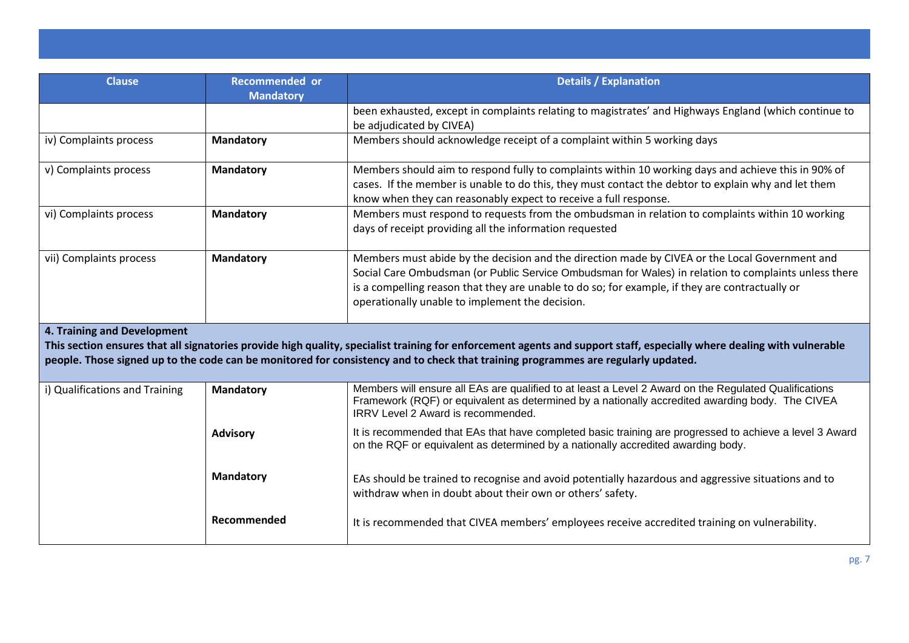| <b>Clause</b>                  | <b>Recommended or</b><br><b>Mandatory</b> | <b>Details / Explanation</b>                                                                                                                                                                                                                                                                                                                                 |
|--------------------------------|-------------------------------------------|--------------------------------------------------------------------------------------------------------------------------------------------------------------------------------------------------------------------------------------------------------------------------------------------------------------------------------------------------------------|
|                                |                                           | been exhausted, except in complaints relating to magistrates' and Highways England (which continue to<br>be adjudicated by CIVEA)                                                                                                                                                                                                                            |
| iv) Complaints process         | <b>Mandatory</b>                          | Members should acknowledge receipt of a complaint within 5 working days                                                                                                                                                                                                                                                                                      |
| v) Complaints process          | <b>Mandatory</b>                          | Members should aim to respond fully to complaints within 10 working days and achieve this in 90% of<br>cases. If the member is unable to do this, they must contact the debtor to explain why and let them<br>know when they can reasonably expect to receive a full response.                                                                               |
| vi) Complaints process         | <b>Mandatory</b>                          | Members must respond to requests from the ombudsman in relation to complaints within 10 working<br>days of receipt providing all the information requested                                                                                                                                                                                                   |
| vii) Complaints process        | <b>Mandatory</b>                          | Members must abide by the decision and the direction made by CIVEA or the Local Government and<br>Social Care Ombudsman (or Public Service Ombudsman for Wales) in relation to complaints unless there<br>is a compelling reason that they are unable to do so; for example, if they are contractually or<br>operationally unable to implement the decision. |
| 4. Training and Development    |                                           | This section ensures that all signatories provide high quality, specialist training for enforcement agents and support staff, especially where dealing with vulnerable<br>people. Those signed up to the code can be monitored for consistency and to check that training programmes are regularly updated.                                                  |
| i) Qualifications and Training | <b>Mandatory</b>                          | Members will ensure all EAs are qualified to at least a Level 2 Award on the Regulated Qualifications<br>Framework (RQF) or equivalent as determined by a nationally accredited awarding body. The CIVEA<br>IRRV Level 2 Award is recommended.                                                                                                               |
|                                | <b>Advisory</b>                           | It is recommended that EAs that have completed basic training are progressed to achieve a level 3 Award<br>on the RQF or equivalent as determined by a nationally accredited awarding body.                                                                                                                                                                  |
|                                | <b>Mandatory</b>                          | EAs should be trained to recognise and avoid potentially hazardous and aggressive situations and to<br>withdraw when in doubt about their own or others' safety.                                                                                                                                                                                             |
|                                | Recommended                               | It is recommended that CIVEA members' employees receive accredited training on vulnerability.                                                                                                                                                                                                                                                                |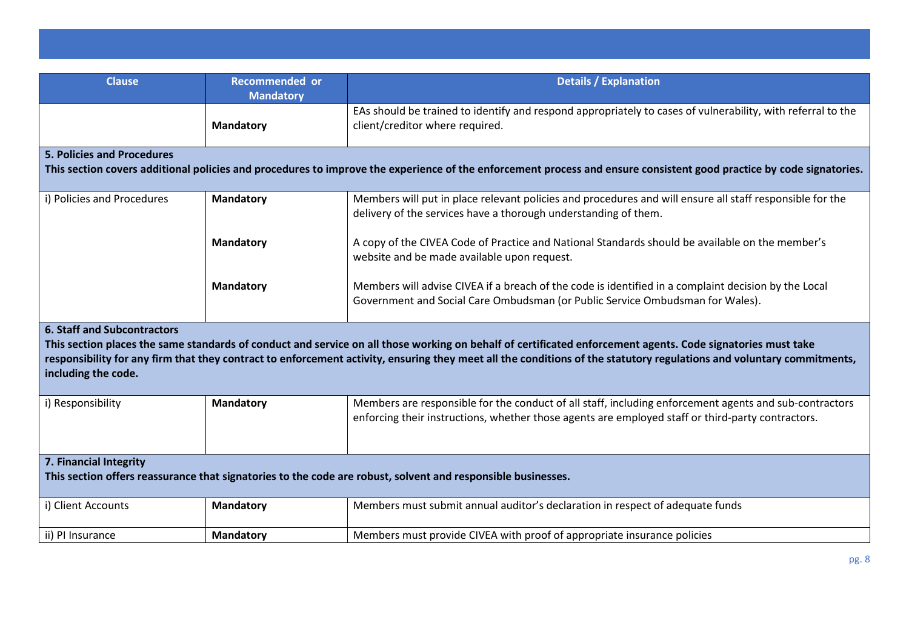| <b>Clause</b>                                                                                                                                                                                                                                                                                                                                                                                     | <b>Recommended or</b><br><b>Mandatory</b> | <b>Details / Explanation</b>                                                                                                                                                                                |  |
|---------------------------------------------------------------------------------------------------------------------------------------------------------------------------------------------------------------------------------------------------------------------------------------------------------------------------------------------------------------------------------------------------|-------------------------------------------|-------------------------------------------------------------------------------------------------------------------------------------------------------------------------------------------------------------|--|
|                                                                                                                                                                                                                                                                                                                                                                                                   | <b>Mandatory</b>                          | EAs should be trained to identify and respond appropriately to cases of vulnerability, with referral to the<br>client/creditor where required.                                                              |  |
| <b>5. Policies and Procedures</b>                                                                                                                                                                                                                                                                                                                                                                 |                                           |                                                                                                                                                                                                             |  |
|                                                                                                                                                                                                                                                                                                                                                                                                   |                                           | This section covers additional policies and procedures to improve the experience of the enforcement process and ensure consistent good practice by code signatories.                                        |  |
| i) Policies and Procedures                                                                                                                                                                                                                                                                                                                                                                        | <b>Mandatory</b>                          | Members will put in place relevant policies and procedures and will ensure all staff responsible for the<br>delivery of the services have a thorough understanding of them.                                 |  |
|                                                                                                                                                                                                                                                                                                                                                                                                   | <b>Mandatory</b>                          | A copy of the CIVEA Code of Practice and National Standards should be available on the member's<br>website and be made available upon request.                                                              |  |
|                                                                                                                                                                                                                                                                                                                                                                                                   | <b>Mandatory</b>                          | Members will advise CIVEA if a breach of the code is identified in a complaint decision by the Local<br>Government and Social Care Ombudsman (or Public Service Ombudsman for Wales).                       |  |
| <b>6. Staff and Subcontractors</b><br>This section places the same standards of conduct and service on all those working on behalf of certificated enforcement agents. Code signatories must take<br>responsibility for any firm that they contract to enforcement activity, ensuring they meet all the conditions of the statutory regulations and voluntary commitments,<br>including the code. |                                           |                                                                                                                                                                                                             |  |
| i) Responsibility                                                                                                                                                                                                                                                                                                                                                                                 | <b>Mandatory</b>                          | Members are responsible for the conduct of all staff, including enforcement agents and sub-contractors<br>enforcing their instructions, whether those agents are employed staff or third-party contractors. |  |
| 7. Financial Integrity                                                                                                                                                                                                                                                                                                                                                                            |                                           |                                                                                                                                                                                                             |  |
| This section offers reassurance that signatories to the code are robust, solvent and responsible businesses.                                                                                                                                                                                                                                                                                      |                                           |                                                                                                                                                                                                             |  |
| i) Client Accounts                                                                                                                                                                                                                                                                                                                                                                                | <b>Mandatory</b>                          | Members must submit annual auditor's declaration in respect of adequate funds                                                                                                                               |  |
| ii) PI Insurance                                                                                                                                                                                                                                                                                                                                                                                  | <b>Mandatory</b>                          | Members must provide CIVEA with proof of appropriate insurance policies                                                                                                                                     |  |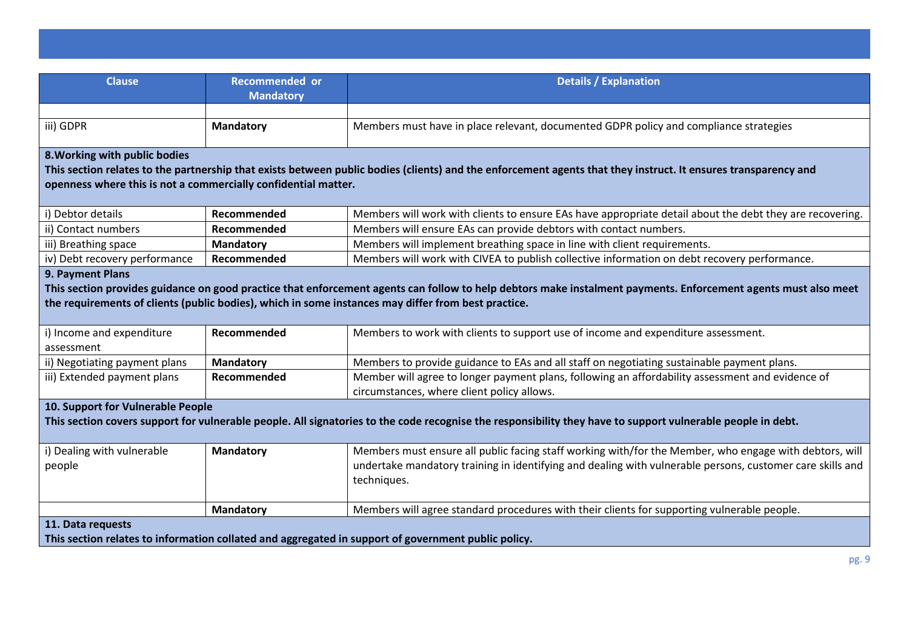| <b>Clause</b>                                                                                                                                                                                                                                                                             | <b>Recommended or</b><br><b>Mandatory</b> | <b>Details / Explanation</b>                                                                                                                                                                                                       |
|-------------------------------------------------------------------------------------------------------------------------------------------------------------------------------------------------------------------------------------------------------------------------------------------|-------------------------------------------|------------------------------------------------------------------------------------------------------------------------------------------------------------------------------------------------------------------------------------|
|                                                                                                                                                                                                                                                                                           |                                           |                                                                                                                                                                                                                                    |
| iii) GDPR                                                                                                                                                                                                                                                                                 | <b>Mandatory</b>                          | Members must have in place relevant, documented GDPR policy and compliance strategies                                                                                                                                              |
| 8. Working with public bodies<br>This section relates to the partnership that exists between public bodies (clients) and the enforcement agents that they instruct. It ensures transparency and<br>openness where this is not a commercially confidential matter.                         |                                           |                                                                                                                                                                                                                                    |
| i) Debtor details                                                                                                                                                                                                                                                                         | Recommended                               | Members will work with clients to ensure EAs have appropriate detail about the debt they are recovering.                                                                                                                           |
| ii) Contact numbers                                                                                                                                                                                                                                                                       | Recommended                               | Members will ensure EAs can provide debtors with contact numbers.                                                                                                                                                                  |
| iii) Breathing space                                                                                                                                                                                                                                                                      | <b>Mandatory</b>                          | Members will implement breathing space in line with client requirements.                                                                                                                                                           |
| iv) Debt recovery performance                                                                                                                                                                                                                                                             | Recommended                               | Members will work with CIVEA to publish collective information on debt recovery performance.                                                                                                                                       |
| 9. Payment Plans<br>This section provides guidance on good practice that enforcement agents can follow to help debtors make instalment payments. Enforcement agents must also meet<br>the requirements of clients (public bodies), which in some instances may differ from best practice. |                                           |                                                                                                                                                                                                                                    |
| i) Income and expenditure<br>assessment                                                                                                                                                                                                                                                   | Recommended                               | Members to work with clients to support use of income and expenditure assessment.                                                                                                                                                  |
| ii) Negotiating payment plans                                                                                                                                                                                                                                                             | <b>Mandatory</b>                          | Members to provide guidance to EAs and all staff on negotiating sustainable payment plans.                                                                                                                                         |
| iii) Extended payment plans                                                                                                                                                                                                                                                               | Recommended                               | Member will agree to longer payment plans, following an affordability assessment and evidence of<br>circumstances, where client policy allows.                                                                                     |
| 10. Support for Vulnerable People<br>This section covers support for vulnerable people. All signatories to the code recognise the responsibility they have to support vulnerable people in debt.                                                                                          |                                           |                                                                                                                                                                                                                                    |
| i) Dealing with vulnerable<br>people                                                                                                                                                                                                                                                      | <b>Mandatory</b>                          | Members must ensure all public facing staff working with/for the Member, who engage with debtors, will<br>undertake mandatory training in identifying and dealing with vulnerable persons, customer care skills and<br>techniques. |
|                                                                                                                                                                                                                                                                                           | <b>Mandatory</b>                          | Members will agree standard procedures with their clients for supporting vulnerable people.                                                                                                                                        |
| 11. Data requests<br>This section relates to information collated and aggregated in support of government public policy.                                                                                                                                                                  |                                           |                                                                                                                                                                                                                                    |